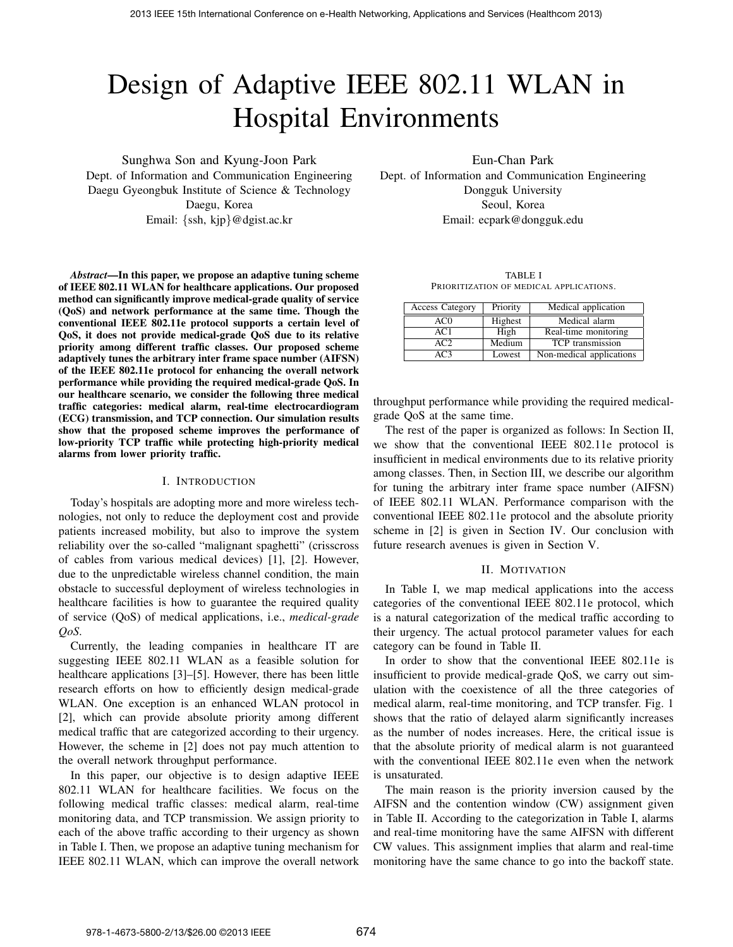# Design of Adaptive IEEE 802.11 WLAN in Hospital Environments

Sunghwa Son and Kyung-Joon Park

Dept. of Information and Communication Engineering Daegu Gyeongbuk Institute of Science & Technology Daegu, Korea Email: {ssh, kjp}@dgist.ac.kr

Eun-Chan Park

Dept. of Information and Communication Engineering Dongguk University Seoul, Korea Email: ecpark@dongguk.edu

*Abstract***—In this paper, we propose an adaptive tuning scheme of IEEE 802.11 WLAN for healthcare applications. Our proposed method can significantly improve medical-grade quality of service (QoS) and network performance at the same time. Though the conventional IEEE 802.11e protocol supports a certain level of QoS, it does not provide medical-grade QoS due to its relative priority among different traffic classes. Our proposed scheme adaptively tunes the arbitrary inter frame space number (AIFSN) of the IEEE 802.11e protocol for enhancing the overall network performance while providing the required medical-grade QoS. In our healthcare scenario, we consider the following three medical traffic categories: medical alarm, real-time electrocardiogram (ECG) transmission, and TCP connection. Our simulation results show that the proposed scheme improves the performance of low-priority TCP traffic while protecting high-priority medical alarms from lower priority traffic.**

## I. INTRODUCTION

Today's hospitals are adopting more and more wireless technologies, not only to reduce the deployment cost and provide patients increased mobility, but also to improve the system reliability over the so-called "malignant spaghetti" (crisscross of cables from various medical devices) [1], [2]. However, due to the unpredictable wireless channel condition, the main obstacle to successful deployment of wireless technologies in healthcare facilities is how to guarantee the required quality of service (QoS) of medical applications, i.e., *medical-grade QoS*.

Currently, the leading companies in healthcare IT are suggesting IEEE 802.11 WLAN as a feasible solution for healthcare applications [3]–[5]. However, there has been little research efforts on how to efficiently design medical-grade WLAN. One exception is an enhanced WLAN protocol in [2], which can provide absolute priority among different medical traffic that are categorized according to their urgency. However, the scheme in [2] does not pay much attention to the overall network throughput performance.

In this paper, our objective is to design adaptive IEEE 802.11 WLAN for healthcare facilities. We focus on the following medical traffic classes: medical alarm, real-time monitoring data, and TCP transmission. We assign priority to each of the above traffic according to their urgency as shown in Table I. Then, we propose an adaptive tuning mechanism for IEEE 802.11 WLAN, which can improve the overall network

TABLE I PRIORITIZATION OF MEDICAL APPLICATIONS.

| <b>Access Category</b> | Priority | Medical application      |  |
|------------------------|----------|--------------------------|--|
| AC0                    | Highest  | Medical alarm            |  |
| AC1                    | High     | Real-time monitoring     |  |
| AC2.                   | Medium   | <b>TCP</b> transmission  |  |
| ላርጓ                    | Lowest   | Non-medical applications |  |

throughput performance while providing the required medicalgrade QoS at the same time.

The rest of the paper is organized as follows: In Section II, we show that the conventional IEEE 802.11e protocol is insufficient in medical environments due to its relative priority among classes. Then, in Section III, we describe our algorithm for tuning the arbitrary inter frame space number (AIFSN) of IEEE 802.11 WLAN. Performance comparison with the conventional IEEE 802.11e protocol and the absolute priority scheme in [2] is given in Section IV. Our conclusion with future research avenues is given in Section V.

## II. MOTIVATION

In Table I, we map medical applications into the access categories of the conventional IEEE 802.11e protocol, which is a natural categorization of the medical traffic according to their urgency. The actual protocol parameter values for each category can be found in Table II.

In order to show that the conventional IEEE 802.11e is insufficient to provide medical-grade QoS, we carry out simulation with the coexistence of all the three categories of medical alarm, real-time monitoring, and TCP transfer. Fig. 1 shows that the ratio of delayed alarm significantly increases as the number of nodes increases. Here, the critical issue is that the absolute priority of medical alarm is not guaranteed with the conventional IEEE 802.11e even when the network is unsaturated.

The main reason is the priority inversion caused by the AIFSN and the contention window (CW) assignment given in Table II. According to the categorization in Table I, alarms and real-time monitoring have the same AIFSN with different CW values. This assignment implies that alarm and real-time monitoring have the same chance to go into the backoff state.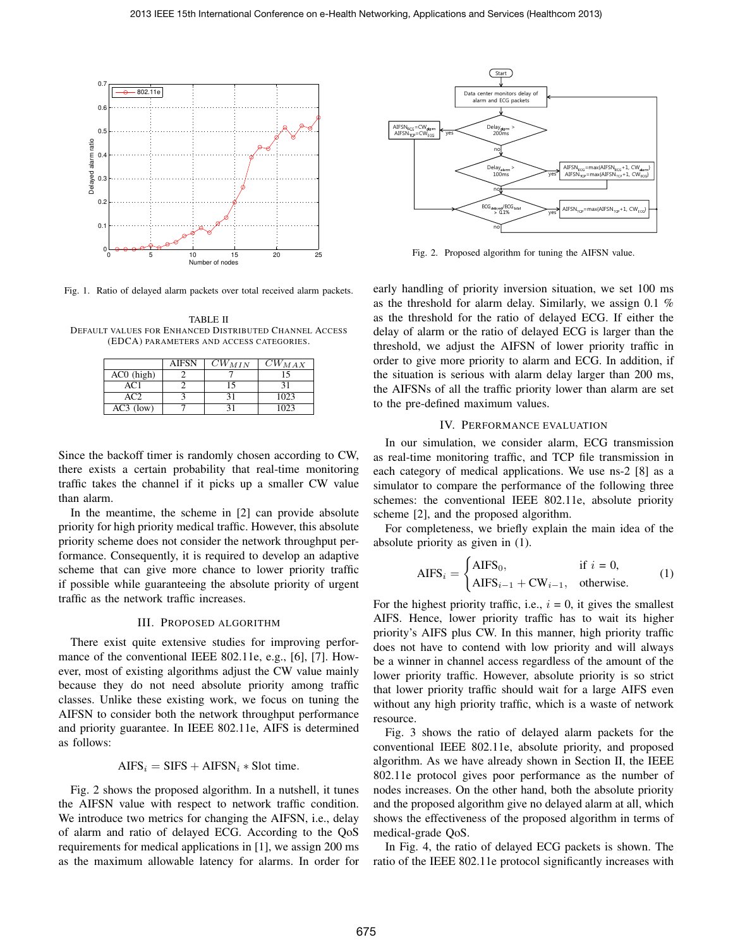

Fig. 1. Ratio of delayed alarm packets over total received alarm packets.

TABLE II DEFAULT VALUES FOR ENHANCED DISTRIBUTED CHANNEL ACCESS (EDCA) PARAMETERS AND ACCESS CATEGORIES.

|              | <b>AIFSN</b> | $CW_{MIN}$ | $CW_{MAX}$ |
|--------------|--------------|------------|------------|
| $AC0$ (high) |              |            |            |
| AC1          |              | ۱٢         | 31         |
| AC2          |              |            | 1023       |
| $AC3$ (low)  |              |            | l O23      |

Since the backoff timer is randomly chosen according to CW, there exists a certain probability that real-time monitoring traffic takes the channel if it picks up a smaller CW value than alarm.

In the meantime, the scheme in [2] can provide absolute priority for high priority medical traffic. However, this absolute priority scheme does not consider the network throughput performance. Consequently, it is required to develop an adaptive scheme that can give more chance to lower priority traffic if possible while guaranteeing the absolute priority of urgent traffic as the network traffic increases.

# III. PROPOSED ALGORITHM

There exist quite extensive studies for improving performance of the conventional IEEE 802.11e, e.g., [6], [7]. However, most of existing algorithms adjust the CW value mainly because they do not need absolute priority among traffic classes. Unlike these existing work, we focus on tuning the AIFSN to consider both the network throughput performance and priority guarantee. In IEEE 802.11e, AIFS is determined as follows:

# $AIFS_i = SIFS + AIFSN_i * Slot$  time.

Fig. 2 shows the proposed algorithm. In a nutshell, it tunes the AIFSN value with respect to network traffic condition. We introduce two metrics for changing the AIFSN, i.e., delay of alarm and ratio of delayed ECG. According to the QoS requirements for medical applications in [1], we assign 200 ms as the maximum allowable latency for alarms. In order for



Fig. 2. Proposed algorithm for tuning the AIFSN value.

early handling of priority inversion situation, we set 100 ms as the threshold for alarm delay. Similarly, we assign 0.1 % as the threshold for the ratio of delayed ECG. If either the delay of alarm or the ratio of delayed ECG is larger than the threshold, we adjust the AIFSN of lower priority traffic in order to give more priority to alarm and ECG. In addition, if the situation is serious with alarm delay larger than 200 ms, the AIFSNs of all the traffic priority lower than alarm are set to the pre-defined maximum values.

## IV. PERFORMANCE EVALUATION

In our simulation, we consider alarm, ECG transmission as real-time monitoring traffic, and TCP file transmission in each category of medical applications. We use ns-2 [8] as a simulator to compare the performance of the following three schemes: the conventional IEEE 802.11e, absolute priority scheme [2], and the proposed algorithm.

For completeness, we briefly explain the main idea of the absolute priority as given in (1).

$$
AIFS_i = \begin{cases} AIFS_0, & \text{if } i = 0, \\ AIFS_{i-1} + CW_{i-1}, & \text{otherwise.} \end{cases}
$$
 (1)

For the highest priority traffic, i.e.,  $i = 0$ , it gives the smallest AIFS. Hence, lower priority traffic has to wait its higher priority's AIFS plus CW. In this manner, high priority traffic does not have to contend with low priority and will always be a winner in channel access regardless of the amount of the lower priority traffic. However, absolute priority is so strict that lower priority traffic should wait for a large AIFS even without any high priority traffic, which is a waste of network resource.

Fig. 3 shows the ratio of delayed alarm packets for the conventional IEEE 802.11e, absolute priority, and proposed algorithm. As we have already shown in Section II, the IEEE 802.11e protocol gives poor performance as the number of nodes increases. On the other hand, both the absolute priority and the proposed algorithm give no delayed alarm at all, which shows the effectiveness of the proposed algorithm in terms of medical-grade QoS.

In Fig. 4, the ratio of delayed ECG packets is shown. The ratio of the IEEE 802.11e protocol significantly increases with